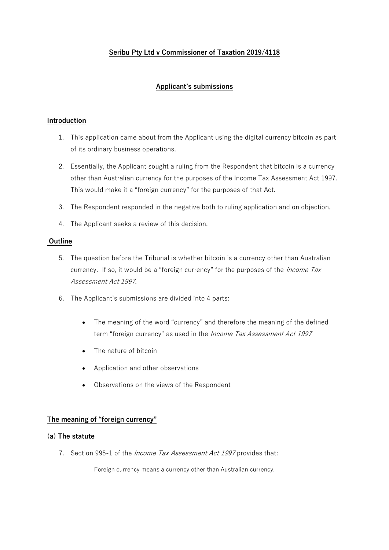# **Seribu Pty Ltd v Commissioner of Taxation 2019/4118**

# **Applicant's submissions**

### **Introduction**

- 1. This application came about from the Applicant using the digital currency bitcoin as part of its ordinary business operations.
- 2. Essentially, the Applicant sought a ruling from the Respondent that bitcoin is a currency other than Australian currency for the purposes of the Income Tax Assessment Act 1997. This would make it a "foreign currency" for the purposes of that Act.
- 3. The Respondent responded in the negative both to ruling application and on objection.
- 4. The Applicant seeks a review of this decision.

### **Outline**

- 5. The question before the Tribunal is whether bitcoin is a currency other than Australian currency. If so, it would be a "foreign currency" for the purposes of the *Income Tax* Assessment Act 1997.
- 6. The Applicant's submissions are divided into 4 parts:
	- The meaning of the word "currency" and therefore the meaning of the defined term "foreign currency" as used in the Income Tax Assessment Act 1997
	- The nature of bitcoin
	- Application and other observations
	- Observations on the views of the Respondent

#### **The meaning of "foreign currency"**

#### **(a) The statute**

7. Section 995-1 of the *Income Tax Assessment Act 1997* provides that:

Foreign currency means a currency other than Australian currency.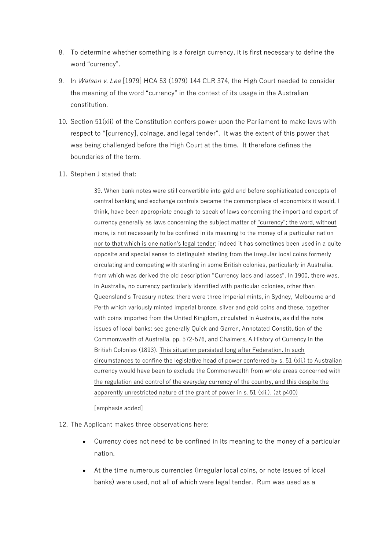- 8. To determine whether something is a foreign currency, it is first necessary to define the word "currency".
- 9. In Watson v. Lee [\[1979\] HCA 53](https://www.austlii.edu.au/cgi-bin/viewdoc/au/cases/cth/HCA/1979/53.html) (1979) 144 CLR 374, the High Court needed to consider the meaning of the word "currency" in the context of its usage in the Australian constitution.
- 10. Section 51(xii) of the Constitution confers power upon the Parliament to make laws with respect to "[currency], coinage, and legal tender". It was the extent of this power that was being challenged before the High Court at the time. It therefore defines the boundaries of the term.
- 11. Stephen J stated that:

39. When bank notes were still convertible into gold and before sophisticated concepts of central banking and exchange controls became the commonplace of economists it would, I think, have been appropriate enough to speak of laws concerning the import and export of currency generally as laws concerning the subject matter of "currency"; the word, without more, is not necessarily to be confined in its meaning to the money of a particular nation nor to that which is one nation's legal tender; indeed it has sometimes been used in a quite opposite and special sense to distinguish sterling from the irregular local coins formerly circulating and competing with sterling in some British colonies, particularly in Australia, from which was derived the old description "Currency lads and lasses". In 1900, there was, in Australia, no currency particularly identified with particular colonies, other than Queensland's Treasury notes: there were three Imperial mints, in Sydney, Melbourne and Perth which variously minted Imperial bronze, silver and gold coins and these, together with coins imported from the United Kingdom, circulated in Australia, as did the note issues of local banks: see generally Quick and Garren, Annotated [Constitution](https://www.austlii.edu.au/cgi-bin/viewdoc/au/legis/cth/consol_act/coaca430/) of the Commonwealth of Australia, pp. 572-576, and Chalmers, A History of Currency in the British Colonies (1893). This situation persisted long after Federation. In such circumstances to confine the legislative head of power conferred by [s. 51](https://www.austlii.edu.au/cgi-bin/viewdoc/au/legis/cth/consol_act/coaca430/s51.html) (xii.) to Australian currency would have been to exclude the Commonwealth from whole areas concerned with the regulation and control of the everyday currency of the country, and this despite the apparently unrestricted nature of the grant of power in [s. 51](https://www.austlii.edu.au/cgi-bin/viewdoc/au/legis/cth/consol_act/coaca430/s51.html) (xii.). (at p400)

[emphasis added]

12. The Applicant makes three observations here:

- Currency does not need to be confined in its meaning to the money of a particular nation.
- At the time numerous currencies (irregular local coins, or note issues of local banks) were used, not all of which were legal tender. Rum was used as a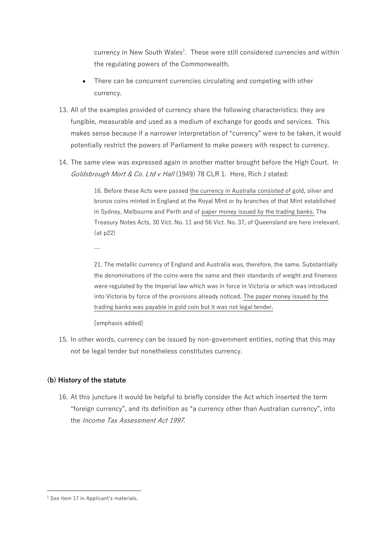currency in New South Wales<sup>1</sup>. These were still considered currencies and within the regulating powers of the Commonwealth.

- There can be concurrent currencies circulating and competing with other currency.
- 13. All of the examples provided of currency share the following characteristics: they are fungible, measurable and used as a medium of exchange for goods and services. This makes sense because if a narrower interpretation of "currency" were to be taken, it would potentially restrict the powers of Parliament to make powers with respect to currency.
- 14. The same view was expressed again in another matter brought before the High Court. In Goldsbrough Mort & Co. Ltd v Hall (1949) 78 CLR 1. Here, Rich J stated:

16. Before these Acts were passed the currency in Australia consisted of gold, silver and bronze coins minted in England at the Royal Mint or by branches of that Mint established in Sydney, Melbourne and Perth and of paper money issued by the trading banks. The Treasury Notes Acts, 30 Vict. No. 11 and 56 Vict. No. 37, of Queensland are here irrelevant. (at p22)

…

21. The metallic currency of England and Australia was, therefore, the same. Substantially the denominations of the coins were the same and their standards of weight and fineness were regulated by the Imperial law which was in force in Victoria or which was introduced into Victoria by force of the provisions already noticed. The paper money issued by the trading banks was payable in gold coin but it was not legal tender.

[emphasis added]

15. In other words, currency can be issued by non-government entities, noting that this may not be legal tender but nonetheless constitutes currency.

# **(b) History of the statute**

16. At this juncture it would be helpful to briefly consider the Act which inserted the term "foreign currency", and its definition as "a currency other than Australian currency", into the Income Tax Assessment Act 1997.

 $<sup>1</sup>$  See item 17 in Applicant's materials.</sup>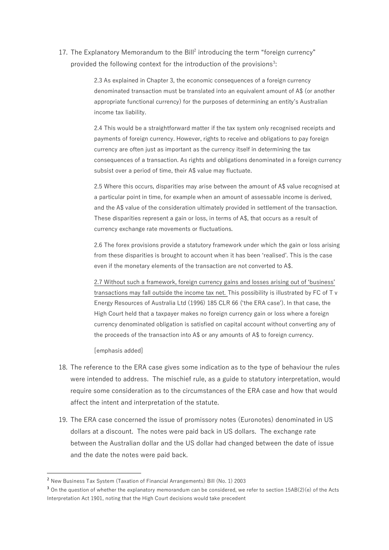17. The Explanatory Memorandum to the Bill<sup>2</sup> introducing the term "foreign currency" provided the following context for the introduction of the provisions<sup>3</sup>:

> 2.3 As explained in Chapter 3, the economic consequences of a foreign currency denominated transaction must be translated into an equivalent amount of A\$ (or another appropriate functional currency) for the purposes of determining an entity's Australian income tax liability.

2.4 This would be a straightforward matter if the tax system only recognised receipts and payments of foreign currency. However, rights to receive and obligations to pay foreign currency are often just as important as the currency itself in determining the tax consequences of a transaction. As rights and obligations denominated in a foreign currency subsist over a period of time, their A\$ value may fluctuate.

2.5 Where this occurs, disparities may arise between the amount of A\$ value recognised at a particular point in time, for example when an amount of assessable income is derived, and the A\$ value of the consideration ultimately provided in settlement of the transaction. These disparities represent a gain or loss, in terms of A\$, that occurs as a result of currency exchange rate movements or fluctuations.

2.6 The forex provisions provide a statutory framework under which the gain or loss arising from these disparities is brought to account when it has been 'realised'. This is the case even if the monetary elements of the transaction are not converted to A\$.

2.7 Without such a framework, foreign currency gains and losses arising out of 'business' transactions may fall outside the income tax net. This possibility is illustrated by FC of T v Energy Resources of Australia Ltd (1996) 185 CLR 66 ('the ERA case'). In that case, the High Court held that a taxpayer makes no foreign currency gain or loss where a foreign currency denominated obligation is satisfied on capital account without converting any of the proceeds of the transaction into A\$ or any amounts of A\$ to foreign currency.

[emphasis added]

- 18. The reference to the ERA case gives some indication as to the type of behaviour the rules were intended to address. The mischief rule, as a guide to statutory interpretation, would require some consideration as to the circumstances of the ERA case and how that would affect the intent and interpretation of the statute.
- 19. The ERA case concerned the issue of promissory notes (Euronotes) denominated in US dollars at a discount. The notes were paid back in US dollars. The exchange rate between the Australian dollar and the US dollar had changed between the date of issue and the date the notes were paid back.

<sup>2</sup> New Business Tax System (Taxation of Financial Arrangements) Bill (No. 1) 2003

<sup>&</sup>lt;sup>3</sup> On the question of whether the explanatory memorandum can be considered, we refer to section 15AB(2)(e) of the Acts Interpretation Act 1901, noting that the High Court decisions would take precedent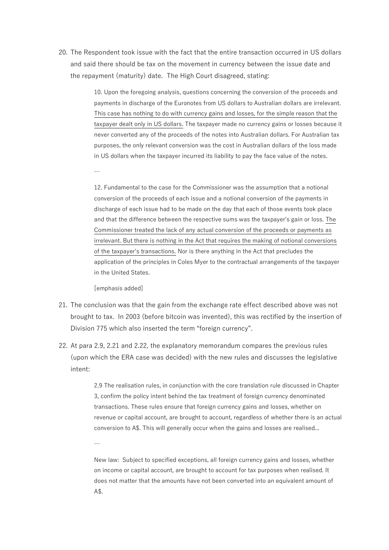20. The Respondent took issue with the fact that the entire transaction occurred in US dollars and said there should be tax on the movement in currency between the issue date and the repayment (maturity) date. The High Court disagreed, stating:

> 10. Upon the foregoing analysis, questions concerning the conversion of the proceeds and payments in discharge of the Euronotes from US dollars to Australian dollars are irrelevant. This case has nothing to do with currency gains and losses, for the simple reason that the taxpayer dealt only in US dollars. The taxpayer made no currency gains or losses because it never converted any of the proceeds of the notes into Australian dollars. For Australian tax purposes, the only relevant conversion was the cost in Australian dollars of the loss made in US dollars when the taxpayer incurred its liability to pay the face value of the notes.

12. Fundamental to the case for the Commissioner was the assumption that a notional conversion of the proceeds of each issue and a notional conversion of the payments in discharge of each issue had to be made on the day that each of those events took place and that the difference between the respective sums was the taxpayer's gain or loss. The Commissioner treated the lack of any actual conversion of the proceeds or payments as irrelevant. But there is nothing in the Act that requires the making of notional conversions of the taxpayer's transactions. Nor is there anything in the Act that precludes the application of the principles in Coles Myer to the contractual arrangements of the taxpayer in the United States.

[emphasis added]

…

- 21. The conclusion was that the gain from the exchange rate effect described above was not brought to tax. In 2003 (before bitcoin was invented), this was rectified by the insertion of Division 775 which also inserted the term "foreign currency".
- 22. At para 2.9, 2.21 and 2.22, the explanatory memorandum compares the previous rules (upon which the ERA case was decided) with the new rules and discusses the legislative intent:

2.9 The realisation rules, in conjunction with the core translation rule discussed in Chapter 3, confirm the policy intent behind the tax treatment of foreign currency denominated transactions. These rules ensure that foreign currency gains and losses, whether on revenue or capital account, are brought to account, regardless of whether there is an actual conversion to A\$. This will generally occur when the gains and losses are realised...

…

New law: Subject to specified exceptions, all foreign currency gains and losses, whether on income or capital account, are brought to account for tax purposes when realised. It does not matter that the amounts have not been converted into an equivalent amount of A\$.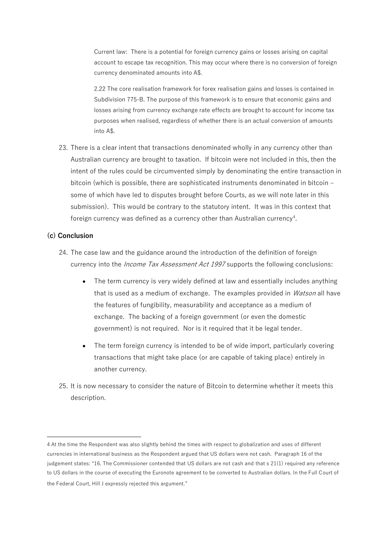Current law: There is a potential for foreign currency gains or losses arising on capital account to escape tax recognition. This may occur where there is no conversion of foreign currency denominated amounts into A\$.

2.22 The core realisation framework for forex realisation gains and losses is contained in Subdivision 775-B. The purpose of this framework is to ensure that economic gains and losses arising from currency exchange rate effects are brought to account for income tax purposes when realised, regardless of whether there is an actual conversion of amounts into A\$.

23. There is a clear intent that transactions denominated wholly in any currency other than Australian currency are brought to taxation. If bitcoin were not included in this, then the intent of the rules could be circumvented simply by denominating the entire transaction in bitcoin (which is possible, there are sophisticated instruments denominated in bitcoin – some of which have led to disputes brought before Courts, as we will note later in this submission). This would be contrary to the statutory intent. It was in this context that foreign currency was defined as a currency other than Australian currency<sup>4</sup>.

## **(c) Conclusion**

- 24. The case law and the guidance around the introduction of the definition of foreign currency into the *Income Tax Assessment Act 1997* supports the following conclusions:
	- The term currency is very widely defined at law and essentially includes anything that is used as a medium of exchange. The examples provided in *Watson* all have the features of fungibility, measurability and acceptance as a medium of exchange. The backing of a foreign government (or even the domestic government) is not required. Nor is it required that it be legal tender.
	- The term foreign currency is intended to be of wide import, particularly covering transactions that might take place (or are capable of taking place) entirely in another currency.
- 25. It is now necessary to consider the nature of Bitcoin to determine whether it meets this description.

<sup>4</sup> At the time the Respondent was also slightly behind the times with respect to globalization and uses of different currencies in international business as the Respondent argued that US dollars were not cash. Paragraph 16 of the judgement states: "16. The Commissioner contended that US dollars are not cash and that [s 21\(1\)](https://www.austlii.edu.au/cgi-bin/viewdoc/au/legis/cth/consol_act/itaa1936240/s21.html) required any reference to US dollars in the course of executing the Euronote agreement to be converted to Australian dollars. In the Full Court of the Federal Court, Hill J expressly rejected this argument."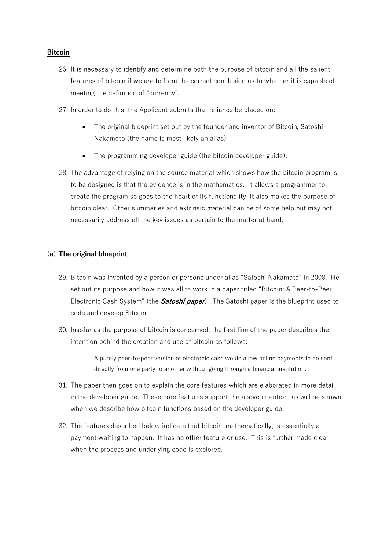## **Bitcoin**

- 26. It is necessary to identify and determine both the purpose of bitcoin and all the salient features of bitcoin if we are to form the correct conclusion as to whether it is capable of meeting the definition of "currency".
- 27. In order to do this, the Applicant submits that reliance be placed on:
	- The original blueprint set out by the founder and inventor of Bitcoin, Satoshi Nakamoto (the name is most likely an alias)
	- The programming developer guide (the bitcoin developer guide).
- 28. The advantage of relying on the source material which shows how the bitcoin program is to be designed is that the evidence is in the mathematics. It allows a programmer to create the program so goes to the heart of its functionality. It also makes the purpose of bitcoin clear. Other summaries and extrinsic material can be of some help but may not necessarily address all the key issues as pertain to the matter at hand.

# **(a) The original blueprint**

- 29. Bitcoin was invented by a person or persons under alias "Satoshi Nakamoto" in 2008. He set out its purpose and how it was all to work in a paper titled "Bitcoin: A Peer-to-Peer Electronic Cash System" (the **Satoshi paper**). The Satoshi paper is the blueprint used to code and develop Bitcoin.
- 30. Insofar as the purpose of bitcoin is concerned, the first line of the paper describes the intention behind the creation and use of bitcoin as follows:

A purely peer-to-peer version of electronic cash would allow online payments to be sent directly from one party to another without going through a financial institution.

- 31. The paper then goes on to explain the core features which are elaborated in more detail in the developer guide. These core features support the above intention, as will be shown when we describe how bitcoin functions based on the developer guide.
- 32. The features described below indicate that bitcoin, mathematically, is essentially a payment waiting to happen. It has no other feature or use. This is further made clear when the process and underlying code is explored.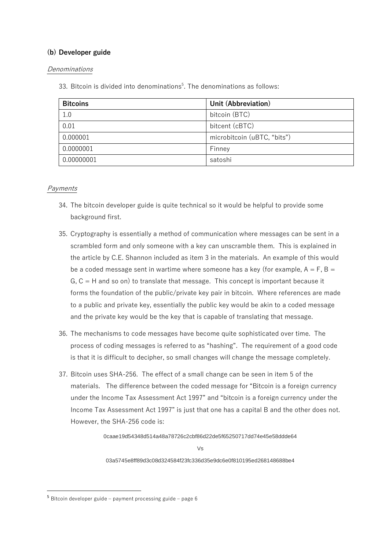# **(b) Developer guide**

## Denominations

33. Bitcoin is divided into denominations<sup>5</sup>. The denominations as follows:

| <b>Bitcoins</b> | Unit (Abbreviation)         |
|-----------------|-----------------------------|
| 1.0             | bitcoin (BTC)               |
| 0.01            | bitcent (cBTC)              |
| 0.000001        | microbitcoin (uBTC, "bits") |
| 0.0000001       | Finney                      |
| 0.00000001      | satoshi                     |

# Payments

- 34. The bitcoin developer guide is quite technical so it would be helpful to provide some background first.
- 35. Cryptography is essentially a method of communication where messages can be sent in a scrambled form and only someone with a key can unscramble them. This is explained in the article by C.E. Shannon included as item 3 in the materials. An example of this would be a coded message sent in wartime where someone has a key (for example,  $A = F$ ,  $B =$  $G, C = H$  and so on) to translate that message. This concept is important because it forms the foundation of the public/private key pair in bitcoin. Where references are made to a public and private key, essentially the public key would be akin to a coded message and the private key would be the key that is capable of translating that message.
- 36. The mechanisms to code messages have become quite sophisticated over time. The process of coding messages is referred to as "hashing". The requirement of a good code is that it is difficult to decipher, so small changes will change the message completely.
- 37. Bitcoin uses SHA-256. The effect of a small change can be seen in item 5 of the materials. The difference between the coded message for "Bitcoin is a foreign currency under the Income Tax Assessment Act 1997" and "bitcoin is a foreign currency under the Income Tax Assessment Act 1997" is just that one has a capital B and the other does not. However, the SHA-256 code is:

0caae19d54348d514a48a78726c2cbf86d22de5f65250717dd74e45e58ddde64

 $V_{\rm c}$ 

03a5745e8ff89d3c08d324584f23fc336d35e9dc6e0f810195ed268148688be4

<sup>5</sup> Bitcoin developer guide – payment processing guide – page 6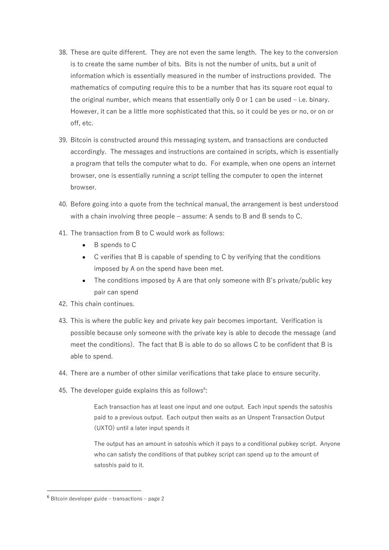- 38. These are quite different. They are not even the same length. The key to the conversion is to create the same number of bits. Bits is not the number of units, but a unit of information which is essentially measured in the number of instructions provided. The mathematics of computing require this to be a number that has its square root equal to the original number, which means that essentially only 0 or 1 can be used  $-$  i.e. binary. However, it can be a little more sophisticated that this, so it could be yes or no, or on or off, etc.
- 39. Bitcoin is constructed around this messaging system, and transactions are conducted accordingly. The messages and instructions are contained in scripts, which is essentially a program that tells the computer what to do. For example, when one opens an internet browser, one is essentially running a script telling the computer to open the internet browser.
- 40. Before going into a quote from the technical manual, the arrangement is best understood with a chain involving three people – assume: A sends to B and B sends to C.
- 41. The transaction from B to C would work as follows:
	- B spends to C
	- C verifies that B is capable of spending to C by verifying that the conditions imposed by A on the spend have been met.
	- The conditions imposed by A are that only someone with B's private/public key pair can spend
- 42. This chain continues.
- 43. This is where the public key and private key pair becomes important. Verification is possible because only someone with the private key is able to decode the message (and meet the conditions). The fact that B is able to do so allows C to be confident that B is able to spend.
- 44. There are a number of other similar verifications that take place to ensure security.
- 45. The developer guide explains this as follows $6$ :

Each transaction has at least one input and one output. Each input spends the satoshis paid to a previous output. Each output then waits as an Unspent Transaction Output (UXTO) until a later input spends it

The output has an amount in satoshis which it pays to a conditional pubkey script. Anyone who can satisfy the conditions of that pubkey script can spend up to the amount of satoshis paid to it.

<sup>6</sup> Bitcoin developer guide – transactions – page 2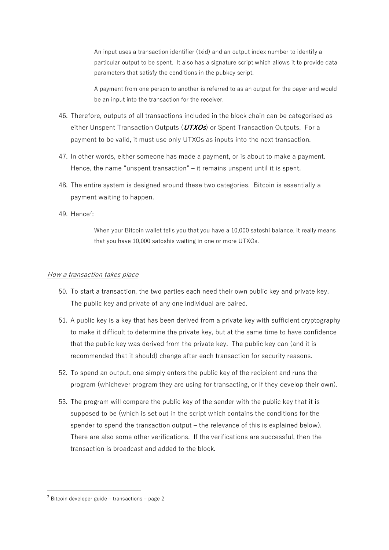An input uses a transaction identifier (txid) and an output index number to identify a particular output to be spent. It also has a signature script which allows it to provide data parameters that satisfy the conditions in the pubkey script.

A payment from one person to another is referred to as an output for the payer and would be an input into the transaction for the receiver.

- 46. Therefore, outputs of all transactions included in the block chain can be categorised as either Unspent Transaction Outputs (**UTXOs**) or Spent Transaction Outputs. For a payment to be valid, it must use only UTXOs as inputs into the next transaction.
- 47. In other words, either someone has made a payment, or is about to make a payment. Hence, the name "unspent transaction" – it remains unspent until it is spent.
- 48. The entire system is designed around these two categories. Bitcoin is essentially a payment waiting to happen.
- 49. Hence<sup>7</sup>:

When your Bitcoin wallet tells you that you have a 10,000 satoshi balance, it really means that you have 10,000 satoshis waiting in one or more UTXOs.

#### How a transaction takes place

- 50. To start a transaction, the two parties each need their own public key and private key. The public key and private of any one individual are paired.
- 51. A public key is a key that has been derived from a private key with sufficient cryptography to make it difficult to determine the private key, but at the same time to have confidence that the public key was derived from the private key. The public key can (and it is recommended that it should) change after each transaction for security reasons.
- 52. To spend an output, one simply enters the public key of the recipient and runs the program (whichever program they are using for transacting, or if they develop their own).
- 53. The program will compare the public key of the sender with the public key that it is supposed to be (which is set out in the script which contains the conditions for the spender to spend the transaction output – the relevance of this is explained below). There are also some other verifications. If the verifications are successful, then the transaction is broadcast and added to the block.

<sup>7</sup> Bitcoin developer guide – transactions – page 2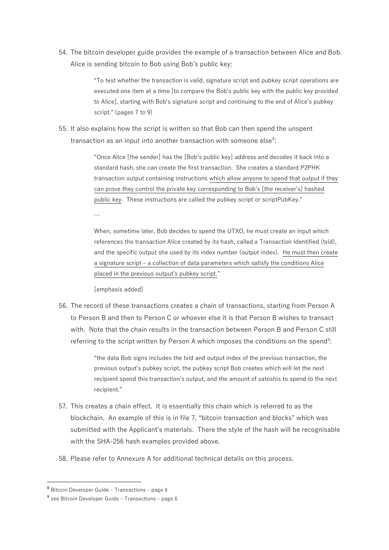54. The bitcoin developer guide provides the example of a transaction between Alice and Bob. Alice is sending bitcoin to Bob using Bob's public key:

> "To test whether the transaction is valid, signature script and pubkey script operations are executed one item at a time [to compare the Bob's public key with the public key provided to Alice], starting with Bob's signature script and continuing to the end of Alice's pubkey script." (pages 7 to 9)

55. It also explains how the script is written so that Bob can then spend the unspent transaction as an input into another transaction with someone else<sup>8</sup>:

> "Once Alice [the sender] has the [Bob's public key] address and decodes it back into a standard hash, she can create the first transaction. She creates a standard P2PHK transaction output containing instructions which allow anyone to spend that output if they can prove they control the private key corresponding to Bob's [the receiver's] hashed public key. These instructions are called the pubkey script or scriptPubKey."

> When, sometime later, Bob decides to spend the UTXO, he must create an input which references the transaction Alice created by its hash, called a Transaction Identified (txid), and the specific output she used by its index number (output index). He must then create a signature script – a collection of data parameters which satisfy the conditions Alice placed in the previous output's pubkey script."

[emphasis added]

…

56. The record of these transactions creates a chain of transactions, starting from Person A to Person B and then to Person C or whoever else it is that Person B wishes to transact with. Note that the chain results in the transaction between Person B and Person C still referring to the script written by Person A which imposes the conditions on the spend<sup>9</sup>:

> "the data Bob signs includes the txid and output index of the previous transaction, the previous output's pubkey script, the pubkey script Bob creates which will let the next recipient spend this transaction's output, and the amount of satoshis to spend to the next recipient."

- 57. This creates a chain effect. It is essentially this chain which is referred to as the blockchain. An example of this is in file 7, "bitcoin transaction and blocks" which was submitted with the Applicant's materials. There the style of the hash will be recognisable with the SHA-256 hash examples provided above.
- 58. Please refer to Annexure A for additional technical details on this process.

<sup>8</sup> Bitcoin Developer Guide – Transactions – page 4

<sup>&</sup>lt;sup>9</sup> see Bitcoin Developer Guide - Transactions - page 6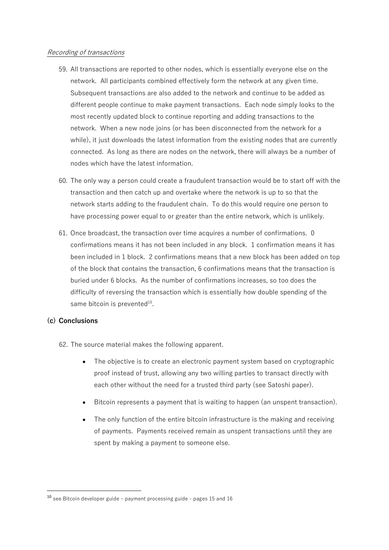### Recording of transactions

- 59. All transactions are reported to other nodes, which is essentially everyone else on the network. All participants combined effectively form the network at any given time. Subsequent transactions are also added to the network and continue to be added as different people continue to make payment transactions. Each node simply looks to the most recently updated block to continue reporting and adding transactions to the network. When a new node joins (or has been disconnected from the network for a while), it just downloads the latest information from the existing nodes that are currently connected. As long as there are nodes on the network, there will always be a number of nodes which have the latest information.
- 60. The only way a person could create a fraudulent transaction would be to start off with the transaction and then catch up and overtake where the network is up to so that the network starts adding to the fraudulent chain. To do this would require one person to have processing power equal to or greater than the entire network, which is unlikely.
- 61. Once broadcast, the transaction over time acquires a number of confirmations. 0 confirmations means it has not been included in any block. 1 confirmation means it has been included in 1 block. 2 confirmations means that a new block has been added on top of the block that contains the transaction, 6 confirmations means that the transaction is buried under 6 blocks. As the number of confirmations increases, so too does the difficulty of reversing the transaction which is essentially how double spending of the same bitcoin is prevented $^{10}$ .

# **(c) Conclusions**

62. The source material makes the following apparent.

- The objective is to create an electronic payment system based on cryptographic proof instead of trust, allowing any two willing parties to transact directly with each other without the need for a trusted third party (see Satoshi paper).
- Bitcoin represents a payment that is waiting to happen (an unspent transaction).
- The only function of the entire bitcoin infrastructure is the making and receiving of payments. Payments received remain as unspent transactions until they are spent by making a payment to someone else.

<sup>10</sup> see Bitcoin developer guide – payment processing guide - pages 15 and 16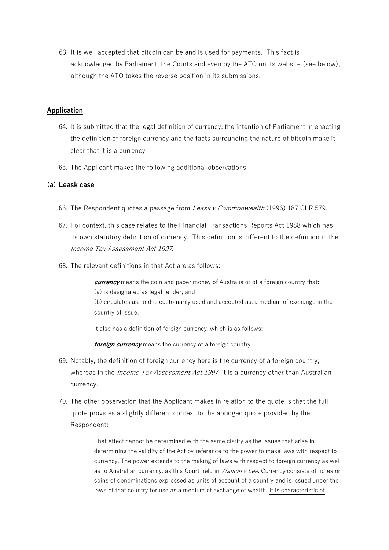63. It is well accepted that bitcoin can be and is used for payments. This fact is acknowledged by Parliament, the Courts and even by the ATO on its website (see below), although the ATO takes the reverse position in its submissions.

### **Application**

- 64. It is submitted that the legal definition of currency, the intention of Parliament in enacting the definition of foreign currency and the facts surrounding the nature of bitcoin make it clear that it is a currency.
- 65. The Applicant makes the following additional observations:

# **(a) Leask case**

- 66. The Respondent quotes a passage from Leask v Commonwealth (1996) 187 CLR 579.
- 67. For context, this case relates to the Financial Transactions Reports Act 1988 which has its own statutory definition of currency. This definition is different to the definition in the Income Tax Assessment Act 1997.
- 68. The relevant definitions in that Act are as follows:

**currency** means the coin and paper money of Australia or of a foreign country that: (a) is designated as legal tender; and (b) circulates as, and is customarily used and accepted as, a medium of exchange in the country of issue.

It also has a definition of foreign currency, which is as follows:

**foreign currency** means the currency of a foreign country.

- 69. Notably, the definition of foreign currency here is the currency of a foreign country, whereas in the *Income Tax Assessment Act 1997* it is a currency other than Australian currency.
- 70. The other observation that the Applicant makes in relation to the quote is that the full quote provides a slightly different context to the abridged quote provided by the Respondent:

That effect cannot be determined with the same clarity as the issues that arise in determining the validity of the Act by reference to the power to make laws with respect to currency. The power extends to the making of laws with respect to foreign currency as well as to Australian currency, as this Court held in *Watson v Lee*. Currency consists of notes or coins of denominations expressed as units of account of a country and is issued under the laws of that country for use as a medium of exchange of wealth. It is characteristic of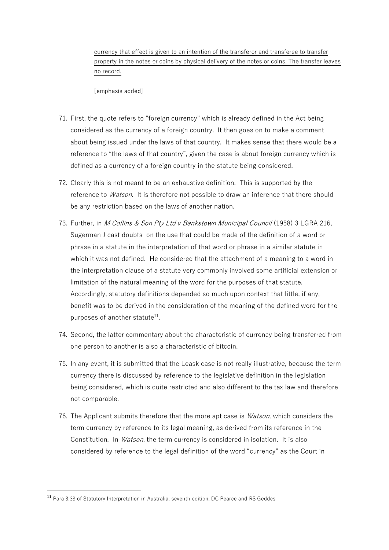currency that effect is given to an intention of the transferor and transferee to transfer property in the notes or coins by physical delivery of the notes or coins. The transfer leaves no record.

[emphasis added]

- 71. First, the quote refers to "foreign currency" which is already defined in the Act being considered as the currency of a foreign country. It then goes on to make a comment about being issued under the laws of that country. It makes sense that there would be a reference to "the laws of that country", given the case is about foreign currency which is defined as a currency of a foreign country in the statute being considered.
- 72. Clearly this is not meant to be an exhaustive definition. This is supported by the reference to *Watson*. It is therefore not possible to draw an inference that there should be any restriction based on the laws of another nation.
- 73. Further, in *M Collins & Son Pty Ltd v Bankstown Municipal Council* (1958) 3 LGRA 216, Sugerman J cast doubts on the use that could be made of the definition of a word or phrase in a statute in the interpretation of that word or phrase in a similar statute in which it was not defined. He considered that the attachment of a meaning to a word in the interpretation clause of a statute very commonly involved some artificial extension or limitation of the natural meaning of the word for the purposes of that statute. Accordingly, statutory definitions depended so much upon context that little, if any, benefit was to be derived in the consideration of the meaning of the defined word for the purposes of another statute<sup>11</sup>.
- 74. Second, the latter commentary about the characteristic of currency being transferred from one person to another is also a characteristic of bitcoin.
- 75. In any event, it is submitted that the Leask case is not really illustrative, because the term currency there is discussed by reference to the legislative definition in the legislation being considered, which is quite restricted and also different to the tax law and therefore not comparable.
- 76. The Applicant submits therefore that the more apt case is *Watson*, which considers the term currency by reference to its legal meaning, as derived from its reference in the Constitution. In *Watson*, the term currency is considered in isolation. It is also considered by reference to the legal definition of the word "currency" as the Court in

<sup>11</sup> Para 3.38 of Statutory Interpretation in Australia, seventh edition, DC Pearce and RS Geddes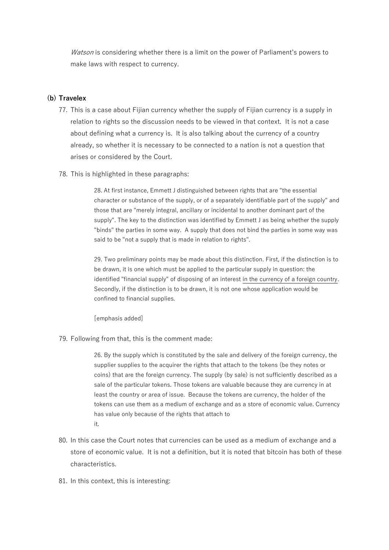Watson is considering whether there is a limit on the power of Parliament's powers to make laws with respect to currency.

### **(b) Travelex**

- 77. This is a case about Fijian currency whether the supply of Fijian currency is a supply in relation to rights so the discussion needs to be viewed in that context. It is not a case about defining what a currency is. It is also talking about the currency of a country already, so whether it is necessary to be connected to a nation is not a question that arises or considered by the Court.
- 78. This is highlighted in these paragraphs:

28. At first instance, Emmett J distinguished between rights that are "the essential character or substance of the supply, or of a separately identifiable part of the supply" and those that are "merely integral, ancillary or incidental to another dominant part of the supply". The key to the distinction was identified by Emmett J as being whether the supply "binds" the parties in some way. A supply that does not bind the parties in some way was said to be "not a supply that is made in relation to rights".

29. Two preliminary points may be made about this distinction. First, if the distinction is to be drawn, it is one which must be applied to the particular supply in question: the identified "financial supply" of disposing of an interest in the currency of a foreign country. Secondly, if the distinction is to be drawn, it is not one whose application would be confined to financial supplies.

[emphasis added]

79. Following from that, this is the comment made:

26. By the supply which is constituted by the sale and delivery of the foreign currency, the supplier supplies to the acquirer the rights that attach to the tokens (be they notes or coins) that are the foreign currency. The supply (by sale) is not sufficiently described as a sale of the particular tokens. Those tokens are valuable because they are currency in at least the country or area of issue. Because the tokens are currency, the holder of the tokens can use them as a medium of exchange and as a store of economic value. Currency has value only because of the rights that attach to it.

- 80. In this case the Court notes that currencies can be used as a medium of exchange and a store of economic value. It is not a definition, but it is noted that bitcoin has both of these characteristics.
- 81. In this context, this is interesting: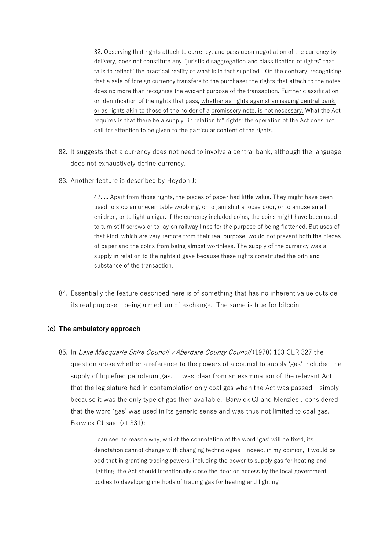32. Observing that rights attach to currency, and pass upon negotiation of the currency by delivery, does not constitute any "juristic disaggregation and classification of rights" that fails to reflect "the practical reality of what is in fact supplied". On the contrary, recognising that a sale of foreign currency transfers to the purchaser the rights that attach to the notes does no more than recognise the evident purpose of the transaction. Further classification or identification of the rights that pass, whether as rights against an issuing central bank, or as rights akin to those of the holder of a promissory note, is not necessary. What the Act requires is that there be a supply "in relation to" rights; the operation of the Act does not call for attention to be given to the particular content of the rights.

- 82. It suggests that a currency does not need to involve a central bank, although the language does not exhaustively define currency.
- 83. Another feature is described by Heydon J:

47. ... Apart from those rights, the pieces of paper had little value. They might have been used to stop an uneven table wobbling, or to jam shut a loose door, or to amuse small children, or to light a cigar. If the currency included coins, the coins might have been used to turn stiff screws or to lay on railway lines for the purpose of being flattened. But uses of that kind, which are very remote from their real purpose, would not prevent both the pieces of paper and the coins from being almost worthless. The supply of the currency was a supply in relation to the rights it gave because these rights constituted the pith and substance of the transaction.

84. Essentially the feature described here is of something that has no inherent value outside its real purpose – being a medium of exchange. The same is true for bitcoin.

#### **(c) The ambulatory approach**

85. In Lake Macquarie Shire Council v Aberdare County Council (1970) 123 CLR 327 the question arose whether a reference to the powers of a council to supply 'gas' included the supply of liquefied petroleum gas. It was clear from an examination of the relevant Act that the legislature had in contemplation only coal gas when the Act was passed – simply because it was the only type of gas then available. Barwick CJ and Menzies J considered that the word 'gas' was used in its generic sense and was thus not limited to coal gas. Barwick CJ said (at 331):

> I can see no reason why, whilst the connotation of the word 'gas' will be fixed, its denotation cannot change with changing technologies. Indeed, in my opinion, it would be odd that in granting trading powers, including the power to supply gas for heating and lighting, the Act should intentionally close the door on access by the local government bodies to developing methods of trading gas for heating and lighting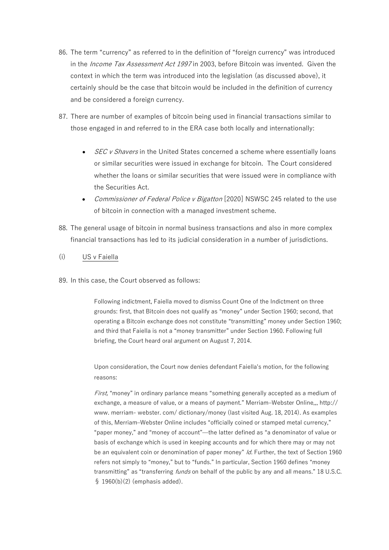- 86. The term "currency" as referred to in the definition of "foreign currency" was introduced in the *Income Tax Assessment Act 1997* in 2003, before Bitcoin was invented. Given the context in which the term was introduced into the legislation (as discussed above), it certainly should be the case that bitcoin would be included in the definition of currency and be considered a foreign currency.
- 87. There are number of examples of bitcoin being used in financial transactions similar to those engaged in and referred to in the ERA case both locally and internationally:
	- **SEC v Shavers in the United States concerned a scheme where essentially loans** or similar securities were issued in exchange for bitcoin. The Court considered whether the loans or similar securities that were issued were in compliance with the Securities Act.
	- Commissioner of Federal Police v Bigatton [2020] NSWSC 245 related to the use of bitcoin in connection with a managed investment scheme.
- 88. The general usage of bitcoin in normal business transactions and also in more complex financial transactions has led to its judicial consideration in a number of jurisdictions.
- (i) US v Faiella
- 89. In this case, the Court observed as follows:

Following indictment, Faiella moved to dismiss Count One of the Indictment on three grounds: first, that Bitcoin does not qualify as "money" under Section 1960; second, that operating a Bitcoin exchange does not constitute "transmitting" money under Section 1960; and third that Faiella is not a "money transmitter" under Section 1960. Following full briefing, the Court heard oral argument on August 7, 2014.

Upon consideration, the Court now denies defendant Faiella's motion, for the following reasons:

First, "money" in ordinary parlance means "something generally accepted as a medium of exchange, a measure of value, or a means of payment." Merriam–Webster Online,,, http:// www. merriam- webster. com/ dictionary/money (last visited Aug. 18, 2014). As examples of this, Merriam–Webster Online includes "officially coined or stamped metal currency," "paper money," and "money of account"—the latter defined as "a denominator of value or basis of exchange which is used in keeping accounts and for which there may or may not be an equivalent coin or denomination of paper money" Id. Further, the text of Section 1960 refers not simply to "money," but to "funds." In particular, Section 1960 defines "money transmitting" as "transferring *funds* on behalf of the public by any and all means." 18 U.S.C. § 1960(b)(2) (emphasis added).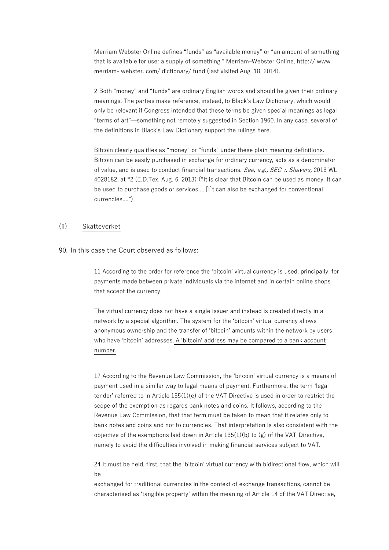Merriam Webster Online defines "funds" as "available money" or "an amount of something that is available for use: a supply of something." Merriam–Webster Online, http:// www. merriam- webster. com/ dictionary/ fund (last visited Aug. 18, 2014).

2 Both "money" and "funds" are ordinary English words and should be given their ordinary meanings. The parties make reference, instead, to Black's Law Dictionary, which would only be relevant if Congress intended that these terms be given special meanings as legal "terms of art"—something not remotely suggested in Section 1960. In any case, several of the definitions in Black's Law Dictionary support the rulings here.

Bitcoin clearly qualifies as "money" or "funds" under these plain meaning definitions. Bitcoin can be easily purchased in exchange for ordinary currency, acts as a denominator of value, and is used to conduct financial transactions. See, e.g., SEC v. Shavers, 2013 WL 4028182, at \*2 (E.D.Tex. Aug. 6, 2013) ("It is clear that Bitcoin can be used as money. It can be used to purchase goods or services.... [I]t can also be exchanged for conventional currencies....").

#### (ii) Skatteverket

#### 90. In this case the Court observed as follows:

11 According to the order for reference the 'bitcoin' virtual currency is used, principally, for payments made between private individuals via the internet and in certain online shops that accept the currency.

The virtual currency does not have a single issuer and instead is created directly in a network by a special algorithm. The system for the 'bitcoin' virtual currency allows anonymous ownership and the transfer of 'bitcoin' amounts within the network by users who have 'bitcoin' addresses. A 'bitcoin' address may be compared to a bank account number.

17 According to the Revenue Law Commission, the 'bitcoin' virtual currency is a means of payment used in a similar way to legal means of payment. Furthermore, the term 'legal tender' referred to in Article 135(1)(e) of the VAT Directive is used in order to restrict the scope of the exemption as regards bank notes and coins. It follows, according to the Revenue Law Commission, that that term must be taken to mean that it relates only to bank notes and coins and not to currencies. That interpretation is also consistent with the objective of the exemptions laid down in Article  $135(1)(b)$  to (g) of the VAT Directive, namely to avoid the difficulties involved in making financial services subject to VAT.

24 It must be held, first, that the 'bitcoin' virtual currency with bidirectional flow, which will be

exchanged for traditional currencies in the context of exchange transactions, cannot be characterised as 'tangible property' within the meaning of Article 14 of the VAT Directive,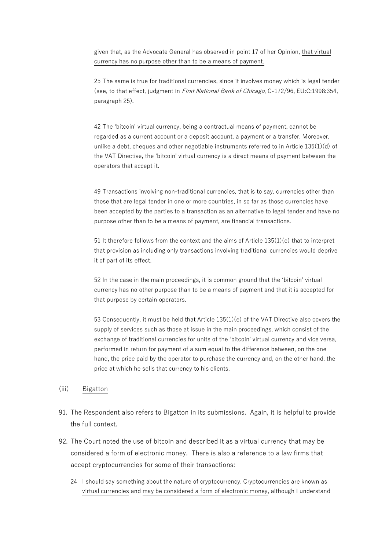given that, as the Advocate General has observed in point 17 of her Opinion, that virtual currency has no purpose other than to be a means of payment.

25 The same is true for traditional currencies, since it involves money which is legal tender (see, to that effect, judgment in First National Bank of Chicago, C‑172/96, EU:C:1998:354, paragraph 25).

42 The 'bitcoin' virtual currency, being a contractual means of payment, cannot be regarded as a current account or a deposit account, a payment or a transfer. Moreover, unlike a debt, cheques and other negotiable instruments referred to in Article 135(1)(d) of the VAT Directive, the 'bitcoin' virtual currency is a direct means of payment between the operators that accept it.

49 Transactions involving non-traditional currencies, that is to say, currencies other than those that are legal tender in one or more countries, in so far as those currencies have been accepted by the parties to a transaction as an alternative to legal tender and have no purpose other than to be a means of payment, are financial transactions.

51 It therefore follows from the context and the aims of Article 135(1)(e) that to interpret that provision as including only transactions involving traditional currencies would deprive it of part of its effect.

52 In the case in the main proceedings, it is common ground that the 'bitcoin' virtual currency has no other purpose than to be a means of payment and that it is accepted for that purpose by certain operators.

53 Consequently, it must be held that Article 135(1)(e) of the VAT Directive also covers the supply of services such as those at issue in the main proceedings, which consist of the exchange of traditional currencies for units of the 'bitcoin' virtual currency and vice versa, performed in return for payment of a sum equal to the difference between, on the one hand, the price paid by the operator to purchase the currency and, on the other hand, the price at which he sells that currency to his clients.

## (iii) Bigatton

- 91. The Respondent also refers to Bigatton in its submissions. Again, it is helpful to provide the full context.
- 92. The Court noted the use of bitcoin and described it as a virtual currency that may be considered a form of electronic money. There is also a reference to a law firms that accept cryptocurrencies for some of their transactions:
	- 24 I should say something about the nature of cryptocurrency. Cryptocurrencies are known as virtual currencies and may be considered a form of electronic money, although I understand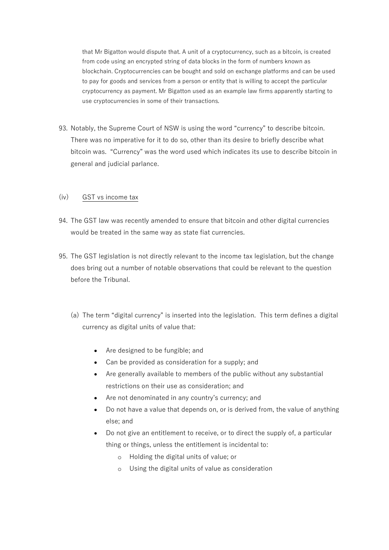that Mr Bigatton would dispute that. A unit of a cryptocurrency, such as a bitcoin, is created from code using an encrypted string of data blocks in the form of numbers known as blockchain. Cryptocurrencies can be bought and sold on exchange platforms and can be used to pay for goods and services from a person or entity that is willing to accept the particular cryptocurrency as payment. Mr Bigatton used as an example law firms apparently starting to use cryptocurrencies in some of their transactions.

93. Notably, the Supreme Court of NSW is using the word "currency" to describe bitcoin. There was no imperative for it to do so, other than its desire to briefly describe what bitcoin was. "Currency" was the word used which indicates its use to describe bitcoin in general and judicial parlance.

# (iv) GST vs income tax

- 94. The GST law was recently amended to ensure that bitcoin and other digital currencies would be treated in the same way as state fiat currencies.
- 95. The GST legislation is not directly relevant to the income tax legislation, but the change does bring out a number of notable observations that could be relevant to the question before the Tribunal.
	- (a) The term "digital currency" is inserted into the legislation. This term defines a digital currency as digital units of value that:
		- Are designed to be fungible; and
		- Can be provided as consideration for a supply; and
		- Are generally available to members of the public without any substantial restrictions on their use as consideration; and
		- Are not denominated in any country's currency; and
		- Do not have a value that depends on, or is derived from, the value of anything else; and
		- Do not give an entitlement to receive, or to direct the supply of, a particular thing or things, unless the entitlement is incidental to:
			- o Holding the digital units of value; or
			- o Using the digital units of value as consideration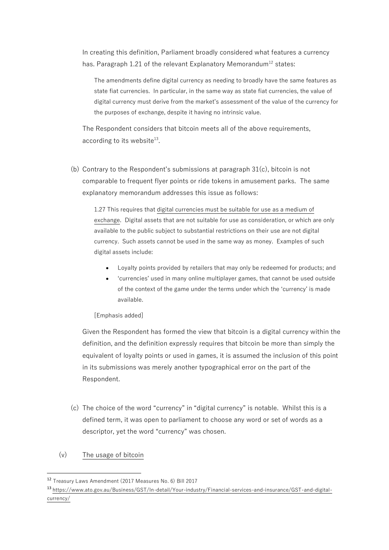In creating this definition, Parliament broadly considered what features a currency has. Paragraph 1.21 of the relevant Explanatory Memorandum<sup>12</sup> states:

The amendments define digital currency as needing to broadly have the same features as state fiat currencies. In particular, in the same way as state fiat currencies, the value of digital currency must derive from the market's assessment of the value of the currency for the purposes of exchange, despite it having no intrinsic value.

The Respondent considers that bitcoin meets all of the above requirements, according to its website<sup>13</sup>.

(b) Contrary to the Respondent's submissions at paragraph  $31(c)$ , bitcoin is not comparable to frequent flyer points or ride tokens in amusement parks. The same explanatory memorandum addresses this issue as follows:

1.27 This requires that digital currencies must be suitable for use as a medium of exchange. Digital assets that are not suitable for use as consideration, or which are only available to the public subject to substantial restrictions on their use are not digital currency. Such assets cannot be used in the same way as money. Examples of such digital assets include:

- Loyalty points provided by retailers that may only be redeemed for products; and
- 'currencies' used in many online multiplayer games, that cannot be used outside of the context of the game under the terms under which the 'currency' is made available.

[Emphasis added]

Given the Respondent has formed the view that bitcoin is a digital currency within the definition, and the definition expressly requires that bitcoin be more than simply the equivalent of loyalty points or used in games, it is assumed the inclusion of this point in its submissions was merely another typographical error on the part of the Respondent.

- (c) The choice of the word "currency" in "digital currency" is notable. Whilst this is a defined term, it was open to parliament to choose any word or set of words as a descriptor, yet the word "currency" was chosen.
- (v) The usage of bitcoin

<sup>12</sup> Treasury Laws Amendment (2017 Measures No. 6) Bill 2017

<sup>13</sup> [https://www.ato.gov.au/Business/GST/In-detail/Your-industry/Financial-services-and-insurance/GST-and-digital](https://www.ato.gov.au/Business/GST/In-detail/Your-industry/Financial-services-and-insurance/GST-and-digital-currency/)[currency/](https://www.ato.gov.au/Business/GST/In-detail/Your-industry/Financial-services-and-insurance/GST-and-digital-currency/)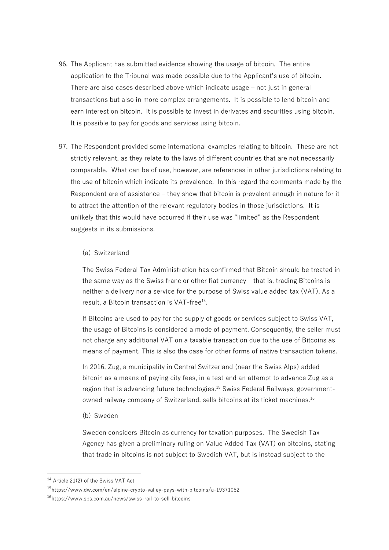- 96. The Applicant has submitted evidence showing the usage of bitcoin. The entire application to the Tribunal was made possible due to the Applicant's use of bitcoin. There are also cases described above which indicate usage – not just in general transactions but also in more complex arrangements. It is possible to lend bitcoin and earn interest on bitcoin. It is possible to invest in derivates and securities using bitcoin. It is possible to pay for goods and services using bitcoin.
- 97. The Respondent provided some international examples relating to bitcoin. These are not strictly relevant, as they relate to the laws of different countries that are not necessarily comparable. What can be of use, however, are references in other jurisdictions relating to the use of bitcoin which indicate its prevalence. In this regard the comments made by the Respondent are of assistance – they show that bitcoin is prevalent enough in nature for it to attract the attention of the relevant regulatory bodies in those jurisdictions. It is unlikely that this would have occurred if their use was "limited" as the Respondent suggests in its submissions.

#### (a) Switzerland

The Swiss Federal Tax Administration has confirmed that Bitcoin should be treated in the same way as the Swiss franc or other fiat currency – that is, trading Bitcoins is neither a delivery nor a service for the purpose of Swiss value added tax (VAT). As a result, a Bitcoin transaction is VAT-free<sup>14</sup>.

If Bitcoins are used to pay for the supply of goods or services subject to Swiss VAT, the usage of Bitcoins is considered a mode of payment. Consequently, the seller must not charge any additional VAT on a taxable transaction due to the use of Bitcoins as means of payment. This is also the case for other forms of native transaction tokens.

In 2016, Zug, a municipality in Central Switzerland (near the Swiss Alps) added bitcoin as a means of paying city fees, in a test and an attempt to advance Zug as a region that is advancing future technologies.<sup>15</sup> Swiss Federal Railways, governmentowned railway company of Switzerland, sells bitcoins at its ticket machines.<sup>16</sup>

(b) Sweden

Sweden considers Bitcoin as currency for taxation purposes. The Swedish Tax Agency has given a preliminary ruling on Value Added Tax (VAT) on bitcoins, stating that trade in bitcoins is not subject to Swedish VAT, but is instead subject to the

<sup>14</sup> Article 21(2) of the Swiss VAT Act

<sup>15</sup>https://www.dw.com/en/alpine-crypto-valley-pays-with-bitcoins/a-19371082

<sup>16</sup><https://www.sbs.com.au/news/swiss-rail-to-sell-bitcoins>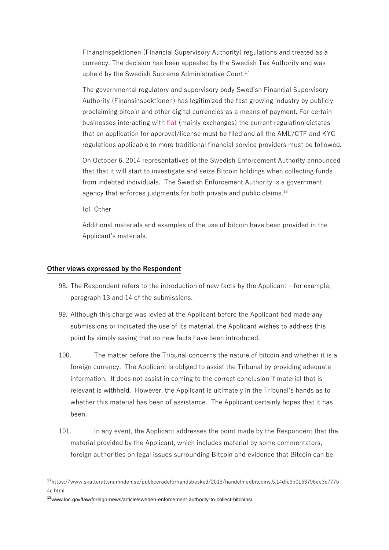Finansinspektionen (Financial Supervisory Authority) regulations and treated as a currency. The decision has been appealed by the Swedish Tax Authority and was upheld by the Swedish Supreme Administrative Court.<sup>17</sup>

The governmental regulatory and supervisory body Swedish Financial Supervisory Authority (Finansinspektionen) has legitimized the fast growing industry by publicly proclaiming bitcoin and other digital currencies as a means of payment. For certain businesses interacting with [fiat](https://en.wikipedia.org/wiki/Fiat_money) (mainly exchanges) the current regulation dictates that an application for approval/license must be filed and all the AML/CTF and KYC regulations applicable to more traditional financial service providers must be followed.

On October 6, 2014 representatives of the Swedish Enforcement Authority announced that that it will start to investigate and seize Bitcoin holdings when collecting funds from indebted individuals. The Swedish Enforcement Authority is a government agency that enforces judgments for both private and public claims.<sup>18</sup>

(c) Other

Additional materials and examples of the use of bitcoin have been provided in the Applicant's materials.

## **Other views expressed by the Respondent**

- 98. The Respondent refers to the introduction of new facts by the Applicant for example, paragraph 13 and 14 of the submissions.
- 99. Although this charge was levied at the Applicant before the Applicant had made any submissions or indicated the use of its material, the Applicant wishes to address this point by simply saying that no new facts have been introduced.
- 100. The matter before the Tribunal concerns the nature of bitcoin and whether it is a foreign currency. The Applicant is obliged to assist the Tribunal by providing adequate information. It does not assist in coming to the correct conclusion if material that is relevant is withheld. However, the Applicant is ultimately in the Tribunal's hands as to whether this material has been of assistance. The Applicant certainly hopes that it has been.
- 101. In any event, the Applicant addresses the point made by the Respondent that the material provided by the Applicant, which includes material by some commentators, foreign authorities on legal issues surrounding Bitcoin and evidence that Bitcoin can be

<sup>17</sup>https://www.skatterattsnamnden.se/publiceradeforhandsbesked/2013/handelmedbitcoins.5.14dfc9b0163796ee3e777b 4c.html

<sup>18</sup>www.loc.gov/law/foreign-news/article/sweden-enforcement-authority-to-collect-bitcoins/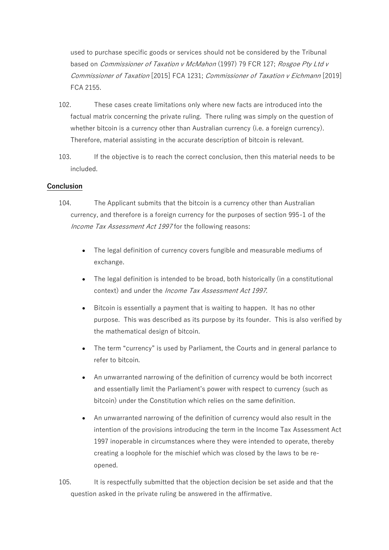used to purchase specific goods or services should not be considered by the Tribunal based on *Commissioner of Taxation v McMahon* (1997) 79 FCR 127; Rosgoe Pty Ltd v Commissioner of Taxation [2015] FCA 1231; Commissioner of Taxation v Eichmann [2019] FCA 2155.

- 102. These cases create limitations only where new facts are introduced into the factual matrix concerning the private ruling. There ruling was simply on the question of whether bitcoin is a currency other than Australian currency (i.e. a foreign currency). Therefore, material assisting in the accurate description of bitcoin is relevant.
- 103. If the objective is to reach the correct conclusion, then this material needs to be included.

## **Conclusion**

- 104. The Applicant submits that the bitcoin is a currency other than Australian currency, and therefore is a foreign currency for the purposes of section 995-1 of the Income Tax Assessment Act 1997 for the following reasons:
	- The legal definition of currency covers fungible and measurable mediums of exchange.
	- The legal definition is intended to be broad, both historically (in a constitutional context) and under the Income Tax Assessment Act 1997.
	- Bitcoin is essentially a payment that is waiting to happen. It has no other purpose. This was described as its purpose by its founder. This is also verified by the mathematical design of bitcoin.
	- The term "currency" is used by Parliament, the Courts and in general parlance to refer to bitcoin.
	- An unwarranted narrowing of the definition of currency would be both incorrect and essentially limit the Parliament's power with respect to currency (such as bitcoin) under the Constitution which relies on the same definition.
	- An unwarranted narrowing of the definition of currency would also result in the intention of the provisions introducing the term in the Income Tax Assessment Act 1997 inoperable in circumstances where they were intended to operate, thereby creating a loophole for the mischief which was closed by the laws to be reopened.
- 105. It is respectfully submitted that the objection decision be set aside and that the question asked in the private ruling be answered in the affirmative.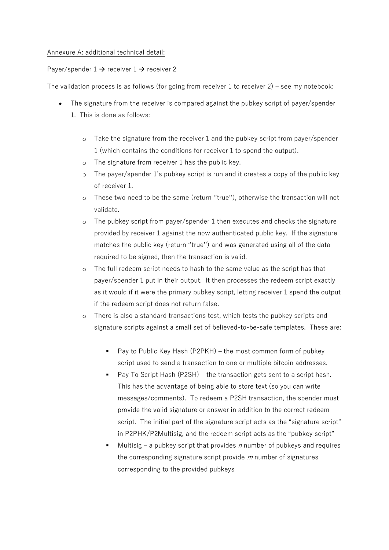## Annexure A: additional technical detail:

## Payer/spender  $1 \rightarrow$  receiver  $1 \rightarrow$  receiver 2

The validation process is as follows (for going from receiver  $1$  to receiver  $2$ ) – see my notebook:

- The signature from the receiver is compared against the pubkey script of payer/spender 1. This is done as follows:
	- Take the signature from the receiver 1 and the pubkey script from payer/spender 1 (which contains the conditions for receiver 1 to spend the output).
	- o The signature from receiver 1 has the public key.
	- o The payer/spender 1's pubkey script is run and it creates a copy of the public key of receiver 1.
	- o These two need to be the same (return ''true''), otherwise the transaction will not validate.
	- o The pubkey script from payer/spender 1 then executes and checks the signature provided by receiver 1 against the now authenticated public key. If the signature matches the public key (return ''true'') and was generated using all of the data required to be signed, then the transaction is valid.
	- o The full redeem script needs to hash to the same value as the script has that payer/spender 1 put in their output. It then processes the redeem script exactly as it would if it were the primary pubkey script, letting receiver 1 spend the output if the redeem script does not return false.
	- o There is also a standard transactions test, which tests the pubkey scripts and signature scripts against a small set of believed-to-be-safe templates. These are:
		- Pay to Public Key Hash (P2PKH) the most common form of pubkey script used to send a transaction to one or multiple bitcoin addresses.
		- Pay To Script Hash (P2SH) the transaction gets sent to a script hash. This has the advantage of being able to store text (so you can write messages/comments). To redeem a P2SH transaction, the spender must provide the valid signature or answer in addition to the correct redeem script. The initial part of the signature script acts as the "signature script" in P2PHK/P2Multisig, and the redeem script acts as the "pubkey script"
		- Multisig a pubkey script that provides  $n$  number of pubkeys and requires the corresponding signature script provide  $m$  number of signatures corresponding to the provided pubkeys